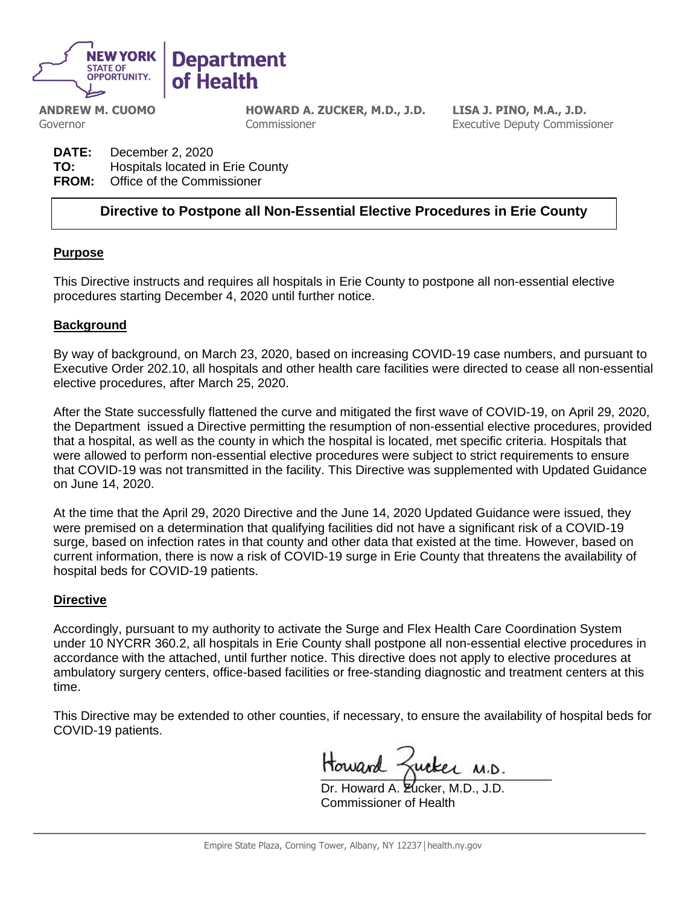

**ANDREW M. CUOMO** Governor

**HOWARD A. ZUCKER, M.D., J.D.** Commissioner

**LISA J. PINO, M.A., J.D.** Executive Deputy Commissioner

**DATE:** December 2, 2020 **TO:** Hospitals located in Erie County **FROM:** Office of the Commissioner

# **Directive to Postpone all Non-Essential Elective Procedures in Erie County**

### **Purpose**

This Directive instructs and requires all hospitals in Erie County to postpone all non-essential elective procedures starting December 4, 2020 until further notice.

### **Background**

By way of background, on March 23, 2020, based on increasing COVID-19 case numbers, and pursuant to Executive Order 202.10, all hospitals and other health care facilities were directed to cease all non-essential elective procedures, after March 25, 2020.

After the State successfully flattened the curve and mitigated the first wave of COVID-19, on April 29, 2020, the Department issued a Directive permitting the resumption of non-essential elective procedures, provided that a hospital, as well as the county in which the hospital is located, met specific criteria. Hospitals that were allowed to perform non-essential elective procedures were subject to strict requirements to ensure that COVID-19 was not transmitted in the facility. This Directive was supplemented with Updated Guidance on June 14, 2020.

At the time that the April 29, 2020 Directive and the June 14, 2020 Updated Guidance were issued, they were premised on a determination that qualifying facilities did not have a significant risk of a COVID-19 surge, based on infection rates in that county and other data that existed at the time. However, based on current information, there is now a risk of COVID-19 surge in Erie County that threatens the availability of hospital beds for COVID-19 patients.

### **Directive**

Accordingly, pursuant to my authority to activate the Surge and Flex Health Care Coordination System under 10 NYCRR 360.2, all hospitals in Erie County shall postpone all non-essential elective procedures in accordance with the attached, until further notice. This directive does not apply to elective procedures at ambulatory surgery centers, office-based facilities or free-standing diagnostic and treatment centers at this time.

This Directive may be extended to other counties, if necessary, to ensure the availability of hospital beds for COVID-19 patients.

Howard Zucker M.D.

Dr. Howard A. Zucker, M.D., J.D. Commissioner of Health